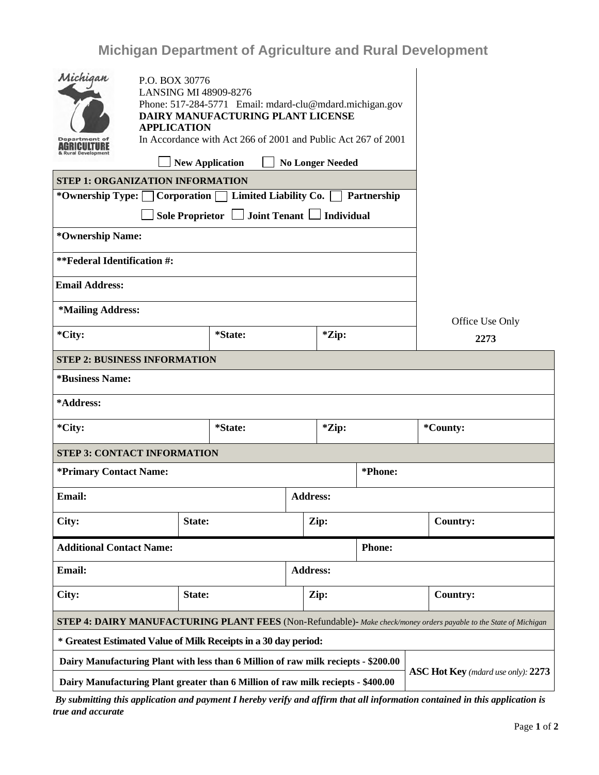## **Michigan Department of Agriculture and Rural Development**

| Michigan                                                                                                                        | P.O. BOX 30776                                                                          |                |  |                 |         |  |          |                 |
|---------------------------------------------------------------------------------------------------------------------------------|-----------------------------------------------------------------------------------------|----------------|--|-----------------|---------|--|----------|-----------------|
|                                                                                                                                 | <b>LANSING MI 48909-8276</b><br>Phone: 517-284-5771 Email: mdard-clu@mdard.michigan.gov |                |  |                 |         |  |          |                 |
|                                                                                                                                 | DAIRY MANUFACTURING PLANT LICENSE<br><b>APPLICATION</b>                                 |                |  |                 |         |  |          |                 |
| <b>Department</b> of<br>AGRICULTURE<br><b>&amp; Rural Development</b>                                                           | In Accordance with Act 266 of 2001 and Public Act 267 of 2001                           |                |  |                 |         |  |          |                 |
|                                                                                                                                 |                                                                                         |                |  |                 |         |  |          |                 |
| <b>STEP 1: ORGANIZATION INFORMATION</b>                                                                                         |                                                                                         |                |  |                 |         |  |          |                 |
| *Ownership Type: $\Box$ Corporation<br>Limited Liability Co.<br>Partnership                                                     |                                                                                         |                |  |                 |         |  |          |                 |
| Joint Tenant   Individual<br>Sole Proprietor $\Box$                                                                             |                                                                                         |                |  |                 |         |  |          |                 |
| *Ownership Name:                                                                                                                |                                                                                         |                |  |                 |         |  |          |                 |
| **Federal Identification #:                                                                                                     |                                                                                         |                |  |                 |         |  |          |                 |
| <b>Email Address:</b>                                                                                                           |                                                                                         |                |  |                 |         |  |          |                 |
| *Mailing Address:                                                                                                               |                                                                                         |                |  |                 |         |  |          | Office Use Only |
| *City:                                                                                                                          |                                                                                         | <i>*State:</i> |  | *Zip:           |         |  | 2273     |                 |
| <b>STEP 2: BUSINESS INFORMATION</b>                                                                                             |                                                                                         |                |  |                 |         |  |          |                 |
| <i><b>*Business Name:</b></i>                                                                                                   |                                                                                         |                |  |                 |         |  |          |                 |
| *Address:                                                                                                                       |                                                                                         |                |  |                 |         |  |          |                 |
| *City:                                                                                                                          |                                                                                         | *State:        |  | *Zip:           |         |  | *County: |                 |
| <b>STEP 3: CONTACT INFORMATION</b>                                                                                              |                                                                                         |                |  |                 |         |  |          |                 |
| *Primary Contact Name:                                                                                                          |                                                                                         |                |  |                 | *Phone: |  |          |                 |
| <b>Email:</b>                                                                                                                   |                                                                                         |                |  | <b>Address:</b> |         |  |          |                 |
| City:                                                                                                                           |                                                                                         | State:         |  | Zip:            |         |  |          | <b>Country:</b> |
| <b>Additional Contact Name:</b><br><b>Phone:</b>                                                                                |                                                                                         |                |  |                 |         |  |          |                 |
| Email:                                                                                                                          |                                                                                         |                |  | <b>Address:</b> |         |  |          |                 |
| City:                                                                                                                           | State:                                                                                  |                |  | Zip:            |         |  |          | <b>Country:</b> |
| <b>STEP 4: DAIRY MANUFACTURING PLANT FEES</b> (Non-Refundable)- Make check/money orders payable to the State of Michigan        |                                                                                         |                |  |                 |         |  |          |                 |
| * Greatest Estimated Value of Milk Receipts in a 30 day period:                                                                 |                                                                                         |                |  |                 |         |  |          |                 |
| Dairy Manufacturing Plant with less than 6 Million of raw milk reciepts - \$200.00<br><b>ASC Hot Key</b> (mdard use only): 2273 |                                                                                         |                |  |                 |         |  |          |                 |
| Dairy Manufacturing Plant greater than 6 Million of raw milk reciepts - \$400.00                                                |                                                                                         |                |  |                 |         |  |          |                 |

*By submitting this application and payment I hereby verify and affirm that all information contained in this application is true and accurate*